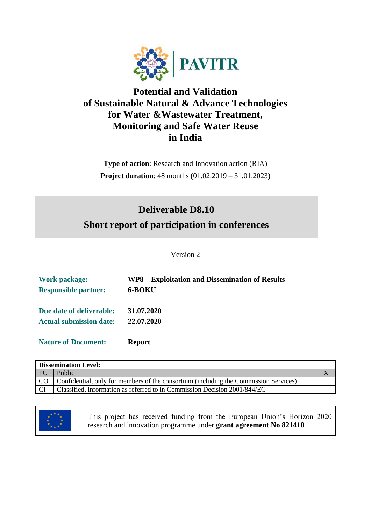

## **Potential and Validation of Sustainable Natural & Advance Technologies for Water &Wastewater Treatment, Monitoring and Safe Water Reuse in India**

**Type of action**: Research and Innovation action (RIA) **Project duration**: 48 months (01.02.2019 – 31.01.2023)

# **Deliverable D8.10 Short report of participation in conferences**

Version 2

| <b>Work package:</b>           | WP8 – Exploitation and Dissemination of Results |
|--------------------------------|-------------------------------------------------|
| <b>Responsible partner:</b>    | 6-BOKU                                          |
| Due date of deliverable:       | 31.07.2020                                      |
| <b>Actual submission date:</b> | 22.07.2020                                      |
| <b>Nature of Document:</b>     | <b>Report</b>                                   |

| <b>Dissemination Level:</b> |                                                                                      |  |
|-----------------------------|--------------------------------------------------------------------------------------|--|
| - PU                        | Public                                                                               |  |
| CO <sub>0</sub>             | Confidential, only for members of the consortium (including the Commission Services) |  |
|                             | Classified, information as referred to in Commission Decision 2001/844/EC            |  |



This project has received funding from the European Union's Horizon 2020 research and innovation programme under **grant agreement No 821410**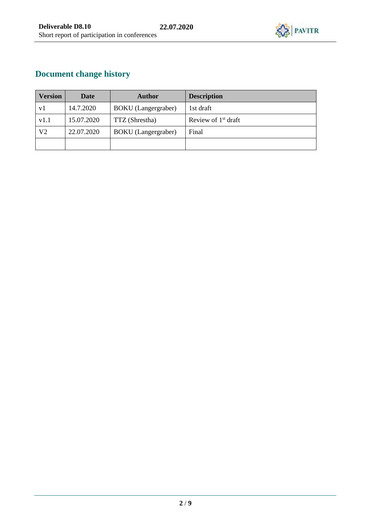

## **Document change history**

| <b>Version</b> | Date       | <b>Author</b>              | <b>Description</b>    |
|----------------|------------|----------------------------|-----------------------|
| v l            | 14.7.2020  | <b>BOKU</b> (Langergraber) | 1st draft             |
| v1.1           | 15.07.2020 | TTZ (Shrestha)             | Review of $1st$ draft |
| V2             | 22.07.2020 | <b>BOKU</b> (Langergraber) | Final                 |
|                |            |                            |                       |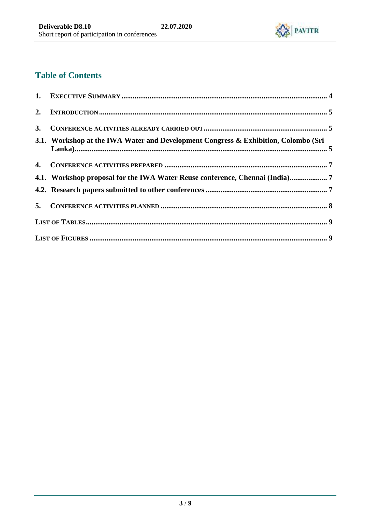

## **Table of Contents**

| 3. |                                                                                    |  |
|----|------------------------------------------------------------------------------------|--|
|    | 3.1. Workshop at the IWA Water and Development Congress & Exhibition, Colombo (Sri |  |
|    |                                                                                    |  |
|    | 4.1. Workshop proposal for the IWA Water Reuse conference, Chennai (India)7        |  |
|    |                                                                                    |  |
|    |                                                                                    |  |
|    |                                                                                    |  |
|    |                                                                                    |  |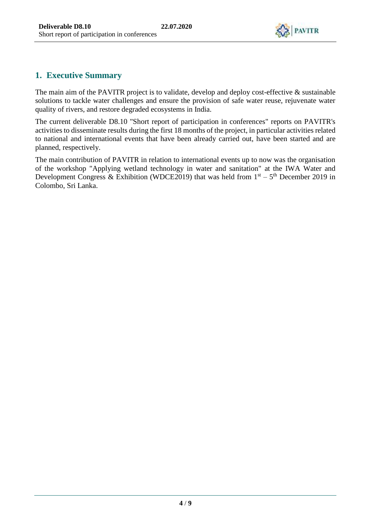

## **1. Executive Summary**

The main aim of the PAVITR project is to validate, develop and deploy cost-effective  $\&$  sustainable solutions to tackle water challenges and ensure the provision of safe water reuse, rejuvenate water quality of rivers, and restore degraded ecosystems in India.

The current deliverable D8.10 "Short report of participation in conferences" reports on PAVITR's activities to disseminate results during the first 18 months of the project, in particular activities related to national and international events that have been already carried out, have been started and are planned, respectively.

The main contribution of PAVITR in relation to international events up to now was the organisation of the workshop "Applying wetland technology in water and sanitation" at the IWA Water and Development Congress & Exhibition (WDCE2019) that was held from  $1<sup>st</sup> - 5<sup>th</sup>$  December 2019 in Colombo, Sri Lanka.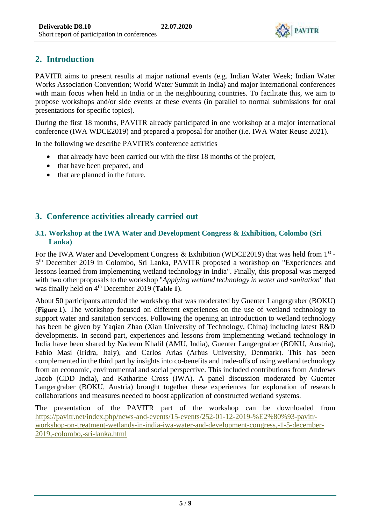

## **2. Introduction**

PAVITR aims to present results at major national events (e.g. Indian Water Week; Indian Water Works Association Convention; World Water Summit in India) and major international conferences with main focus when held in India or in the neighbouring countries. To facilitate this, we aim to propose workshops and/or side events at these events (in parallel to normal submissions for oral presentations for specific topics).

During the first 18 months, PAVITR already participated in one workshop at a major international conference (IWA WDCE2019) and prepared a proposal for another (i.e. IWA Water Reuse 2021).

In the following we describe PAVITR's conference activities

- that already have been carried out with the first 18 months of the project,
- that have been prepared, and
- that are planned in the future.

### **3. Conference activities already carried out**

#### **3.1. Workshop at the IWA Water and Development Congress & Exhibition, Colombo (Sri Lanka)**

For the IWA Water and Development Congress & Exhibition (WDCE2019) that was held from 1<sup>st</sup> -5<sup>th</sup> December 2019 in Colombo, Sri Lanka, PAVITR proposed a workshop on "Experiences and lessons learned from implementing wetland technology in India". Finally, this proposal was merged with two other proposals to the workshop "*Applying wetland technology in water and sanitation*" that was finally held on 4th December 2019 (**Table 1**).

About 50 participants attended the workshop that was moderated by Guenter Langergraber (BOKU) (**Figure 1**). The workshop focused on different experiences on the use of wetland technology to support water and sanitation services. Following the opening an introduction to wetland technology has been be given by Yaqian Zhao (Xian University of Technology, China) including latest R&D developments. In second part, experiences and lessons from implementing wetland technology in India have been shared by Nadeem Khalil (AMU, India), Guenter Langergraber (BOKU, Austria), Fabio Masi (Iridra, Italy), and Carlos Arias (Arhus University, Denmark). This has been complemented in the third part by insights into co-benefits and trade-offs of using wetland technology from an economic, environmental and social perspective. This included contributions from Andrews Jacob (CDD India), and Katharine Cross (IWA). A panel discussion moderated by Guenter Langergraber (BOKU, Austria) brought together these experiences for exploration of research collaborations and measures needed to boost application of constructed wetland systems.

The presentation of the PAVITR part of the workshop can be downloaded from [https://pavitr.net/index.php/news-and-events/15-events/252-01-12-2019-%E2%80%93-pavitr](https://pavitr.net/index.php/news-and-events/15-events/252-01-12-2019-%E2%80%93-pavitr-workshop-on-treatment-wetlands-in-india-iwa-water-and-development-congress,-1-5-december-2019,-colombo,-sri-lanka.html)[workshop-on-treatment-wetlands-in-india-iwa-water-and-development-congress,-1-5-december-](https://pavitr.net/index.php/news-and-events/15-events/252-01-12-2019-%E2%80%93-pavitr-workshop-on-treatment-wetlands-in-india-iwa-water-and-development-congress,-1-5-december-2019,-colombo,-sri-lanka.html)[2019,-colombo,-sri-lanka.html](https://pavitr.net/index.php/news-and-events/15-events/252-01-12-2019-%E2%80%93-pavitr-workshop-on-treatment-wetlands-in-india-iwa-water-and-development-congress,-1-5-december-2019,-colombo,-sri-lanka.html)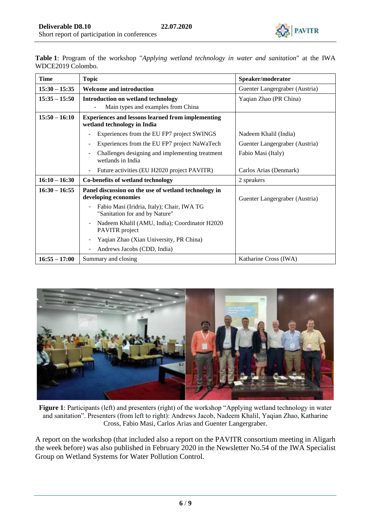

**Table 1**: Program of the workshop "*Applying wetland technology in water and sanitation*" at the IWA WDCE2019 Colombo.

| <b>Time</b>     | <b>Topic</b>                                                                            | Speaker/moderator              |
|-----------------|-----------------------------------------------------------------------------------------|--------------------------------|
| $15:30 - 15:35$ | <b>Welcome and introduction</b>                                                         | Guenter Langergraber (Austria) |
| $15:35 - 15:50$ | <b>Introduction on wetland technology</b>                                               | Yaqian Zhao (PR China)         |
|                 | Main types and examples from China                                                      |                                |
| $15:50 - 16:10$ | <b>Experiences and lessons learned from implementing</b><br>wetland technology in India |                                |
|                 | Experiences from the EU FP7 project SWINGS                                              | Nadeem Khalil (India)          |
|                 | Experiences from the EU FP7 project NaWaTech                                            | Guenter Langergraber (Austria) |
|                 | Challenges designing and implementing treatment<br>wetlands in India                    | Fabio Masi (Italy)             |
|                 | Future activities (EU H2020 project PAVITR)                                             | Carlos Arias (Denmark)         |
| $16:10 - 16:30$ | Co-benefits of wetland technology                                                       | 2 speakers                     |
| $16:30 - 16:55$ | Panel discussion on the use of wetland technology in<br>developing economies            | Guenter Langergraber (Austria) |
|                 | Fabio Masi (Iridria, Italy); Chair, IWA TG<br>"Sanitation for and by Nature"            |                                |
|                 | Nadeem Khalil (AMU, India); Coordinator H2020<br>PAVITR project                         |                                |
|                 | Yaqian Zhao (Xian University, PR China)                                                 |                                |
|                 | Andrews Jacobs (CDD, India)                                                             |                                |
| $16:55 - 17:00$ | Summary and closing                                                                     | Katharine Cross (IWA)          |



**Figure 1**: Participants (left) and presenters (right) of the workshop "Applying wetland technology in water and sanitation". Presenters (from left to right): Andrews Jacob, Nadeem Khalil, Yaqian Zhao, Katharine Cross, Fabio Masi, Carlos Arias and Guenter Langergraber.

A report on the workshop (that included also a report on the PAVITR consortium meeting in Aligarh the week before) was also published in February 2020 in the Newsletter No.54 of the IWA Specialist Group on Wetland Systems for Water Pollution Control.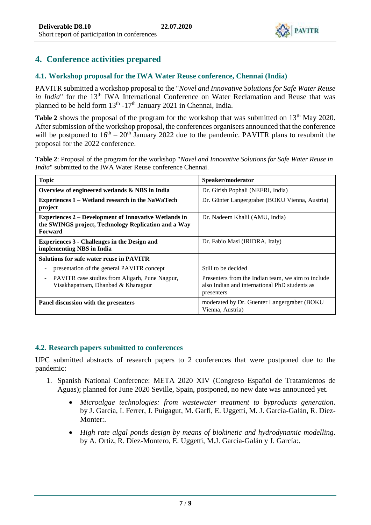

### **4. Conference activities prepared**

#### **4.1. Workshop proposal for the IWA Water Reuse conference, Chennai (India)**

PAVITR submitted a workshop proposal to the "*Novel and Innovative Solutions for Safe Water Reuse in India*" for the 13<sup>th</sup> IWA International Conference on Water Reclamation and Reuse that was planned to be held form  $13<sup>th</sup> - 17<sup>th</sup>$  January 2021 in Chennai, India.

**Table 2** shows the proposal of the program for the workshop that was submitted on 13<sup>th</sup> May 2020. After submission of the workshop proposal, the conferences organisers announced that the conference will be postponed to  $16<sup>th</sup> - 20<sup>th</sup>$  January 2022 due to the pandemic. PAVITR plans to resubmit the proposal for the 2022 conference.

**Table 2**: Proposal of the program for the workshop "*Novel and Innovative Solutions for Safe Water Reuse in India*" submitted to the IWA Water Reuse conference Chennai.

| <b>Topic</b>                                                                                                                                                             | Speaker/moderator                                                                                                 |  |
|--------------------------------------------------------------------------------------------------------------------------------------------------------------------------|-------------------------------------------------------------------------------------------------------------------|--|
| Overview of engineered wetlands & NBS in India                                                                                                                           | Dr. Girish Pophali (NEERI, India)                                                                                 |  |
| Experiences 1 – Wetland research in the NaWaTech<br>project                                                                                                              | Dr. Günter Langergraber (BOKU Vienna, Austria)                                                                    |  |
| <b>Experiences 2 – Development of Innovative Wetlands in</b><br>Dr. Nadeem Khalil (AMU, India)<br>the SWINGS project, Technology Replication and a Way<br><b>Forward</b> |                                                                                                                   |  |
| <b>Experiences 3 - Challenges in the Design and</b><br>implementing NBS in India                                                                                         | Dr. Fabio Masi (IRIDRA, Italy)                                                                                    |  |
| <b>Solutions for safe water reuse in PAVITR</b>                                                                                                                          |                                                                                                                   |  |
| presentation of the general PAVITR concept                                                                                                                               | Still to be decided                                                                                               |  |
| PAVITR case studies from Aligarh, Pune Nagpur,<br>Visakhapatnam, Dhanbad & Kharagpur                                                                                     | Presenters from the Indian team, we aim to include<br>also Indian and international PhD students as<br>presenters |  |
| Panel discussion with the presenters                                                                                                                                     | moderated by Dr. Guenter Langergraber (BOKU<br>Vienna, Austria)                                                   |  |

#### **4.2. Research papers submitted to conferences**

UPC submitted abstracts of research papers to 2 conferences that were postponed due to the pandemic:

- 1. Spanish National Conference: META 2020 XIV (Congreso Español de Tratamientos de Aguas); planned for June 2020 Seville, Spain, postponed, no new date was announced yet.
	- *Microalgae technologies: from wastewater treatment to byproducts generation.* by J. García, I. Ferrer, J. Puigagut, M. Garfí, E. Uggetti, M. J. García-Galán, R. Díez-Monter:.
	- *High rate algal ponds design by means of biokinetic and hydrodynamic modelling.* by A. Ortiz, R. Díez-Montero, E. Uggetti, M.J. García-Galán y J. García:.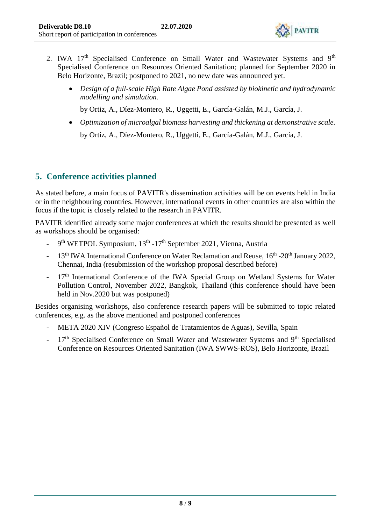

- 2. IWA 17<sup>th</sup> Specialised Conference on Small Water and Wastewater Systems and 9<sup>th</sup> Specialised Conference on Resources Oriented Sanitation; planned for September 2020 in Belo Horizonte, Brazil; postponed to 2021, no new date was announced yet.
	- *Design of a full-scale High Rate Algae Pond assisted by biokinetic and hydrodynamic modelling and simulation.*

by Ortiz, A., Díez-Montero, R., Uggetti, E., García-Galán, M.J., García, J.

 *Optimization of microalgal biomass harvesting and thickening at demonstrative scale.*  by Ortiz, A., Díez-Montero, R., Uggetti, E., García-Galán, M.J., García, J.

## **5. Conference activities planned**

As stated before, a main focus of PAVITR's dissemination activities will be on events held in India or in the neighbouring countries. However, international events in other countries are also within the focus if the topic is closely related to the research in PAVITR.

PAVITR identified already some major conferences at which the results should be presented as well as workshops should be organised:

- 9<sup>th</sup> WETPOL Symposium, 13<sup>th</sup> -17<sup>th</sup> September 2021, Vienna, Austria
- 13<sup>th</sup> IWA International Conference on Water Reclamation and Reuse, 16<sup>th</sup> -20<sup>th</sup> January 2022, Chennai, India (resubmission of the workshop proposal described before)
- 17<sup>th</sup> International Conference of the IWA Special Group on Wetland Systems for Water Pollution Control, November 2022, Bangkok, Thailand (this conference should have been held in Nov.2020 but was postponed)

Besides organising workshops, also conference research papers will be submitted to topic related conferences, e.g. as the above mentioned and postponed conferences

- META 2020 XIV (Congreso Español de Tratamientos de Aguas), Sevilla, Spain
- 17<sup>th</sup> Specialised Conference on Small Water and Wastewater Systems and 9<sup>th</sup> Specialised Conference on Resources Oriented Sanitation (IWA SWWS-ROS), Belo Horizonte, Brazil